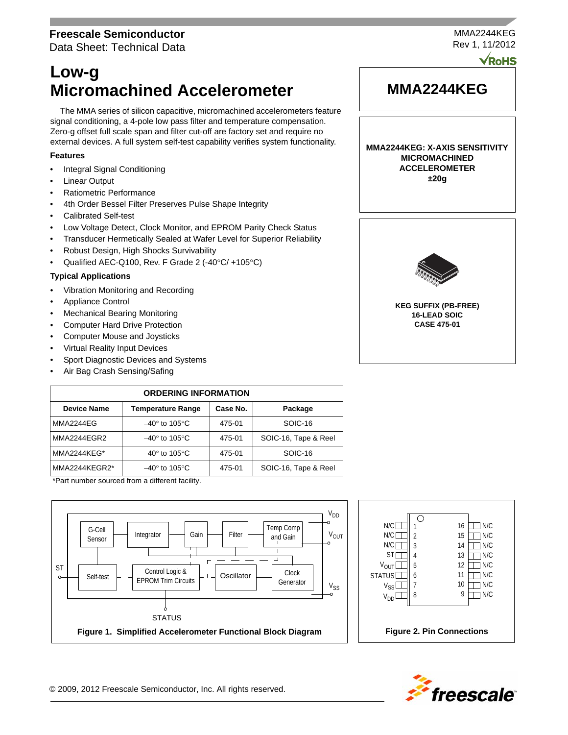# **Freescale Semiconductor**

Data Sheet: Technical Data

# **Low-g Micromachined Accelerometer**

The MMA series of silicon capacitive, micromachined accelerometers feature signal conditioning, a 4-pole low pass filter and temperature compensation. Zero-g offset full scale span and filter cut-off are factory set and require no external devices. A full system self-test capability verifies system functionality.

# **Features**

- Integral Signal Conditioning
- **Linear Output**
- Ratiometric Performance
- 4th Order Bessel Filter Preserves Pulse Shape Integrity
- Calibrated Self-test
- Low Voltage Detect, Clock Monitor, and EPROM Parity Check Status
- Transducer Hermetically Sealed at Wafer Level for Superior Reliability
- Robust Design, High Shocks Survivability
- Qualified AEC-Q100, Rev. F Grade 2 (-40 $\degree$ C/ +105 $\degree$ C)

# **Typical Applications**

- Vibration Monitoring and Recording
- Appliance Control
- Mechanical Bearing Monitoring
- Computer Hard Drive Protection
- Computer Mouse and Joysticks
- Virtual Reality Input Devices
- Sport Diagnostic Devices and Systems
- Air Bag Crash Sensing/Safing

| <b>ORDERING INFORMATION</b> |                                |          |                      |  |  |
|-----------------------------|--------------------------------|----------|----------------------|--|--|
| <b>Device Name</b>          | <b>Temperature Range</b>       | Case No. | Package              |  |  |
| MMA2244EG                   | $-40^\circ$ to 105 $\degree$ C | 475-01   | SOIC-16              |  |  |
| MMA2244EGR2                 | $-40^\circ$ to 105 $\degree$ C | 475-01   | SOIC-16, Tape & Reel |  |  |
| MMA2244KEG*                 | $-40^\circ$ to 105°C           | 475-01   | SOIC-16              |  |  |
| MMA2244KEGR2*               | $-40^\circ$ to 105 $\degree$ C | 475-01   | SOIC-16, Tape & Reel |  |  |

\*Part number sourced from a different facility.







Rev 1, 11/2012 **VRoHS** 

MMA2244KEG

# **MMA2244KEG**

**MMA2244KEG: X-AXIS SENSITIVITY MICROMACHINED ACCELEROMETER ±20g**



**KEG SUFFIX (PB-FREE) 16-LEAD SOIC CASE 475-01**

© 2009, 2012 Freescale Semiconductor, Inc. All rights reserved.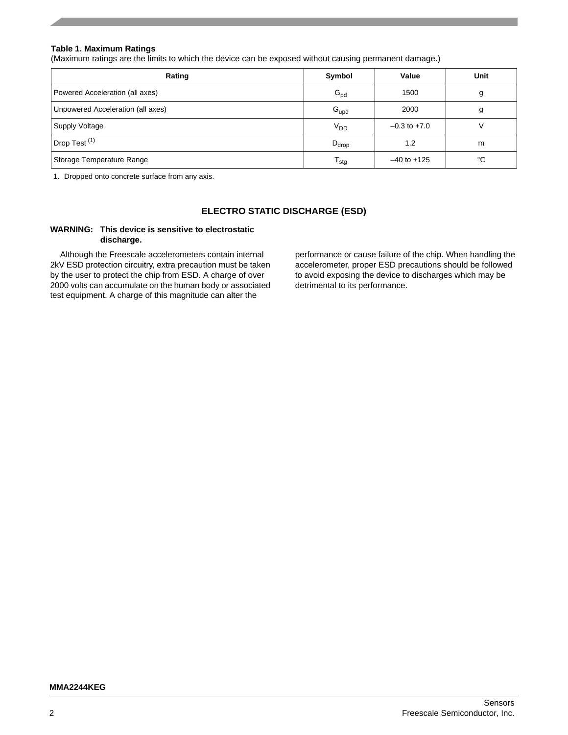# **Table 1. Maximum Ratings**

(Maximum ratings are the limits to which the device can be exposed without causing permanent damage.)

| Rating                            | Symbol                      | Value            | Unit |
|-----------------------------------|-----------------------------|------------------|------|
| Powered Acceleration (all axes)   | $G_{\text{pd}}$             | 1500             |      |
| Unpowered Acceleration (all axes) | $G_{\text{upd}}$            | 2000             | g    |
| <b>Supply Voltage</b>             | $V_{DD}$                    | $-0.3$ to $+7.0$ |      |
| Drop Test <sup>(1)</sup>          | $D_{drop}$                  | 1.2              | m    |
| Storage Temperature Range         | $\mathsf{T}_{\mathsf{stg}}$ | $-40$ to $+125$  | °C   |

1. Dropped onto concrete surface from any axis.

# **ELECTRO STATIC DISCHARGE (ESD)**

# **WARNING: This device is sensitive to electrostatic discharge.**

Although the Freescale accelerometers contain internal 2kV ESD protection circuitry, extra precaution must be taken by the user to protect the chip from ESD. A charge of over 2000 volts can accumulate on the human body or associated test equipment. A charge of this magnitude can alter the

performance or cause failure of the chip. When handling the accelerometer, proper ESD precautions should be followed to avoid exposing the device to discharges which may be detrimental to its performance.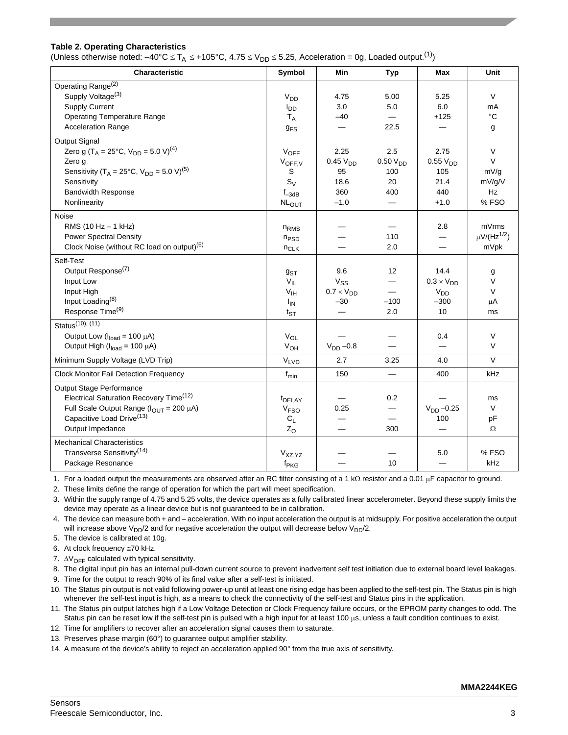# **Table 2. Operating Characteristics**

(Unless otherwise noted:  $-40^{\circ}$ C  $\leq$  T<sub>A</sub>  $\leq$  +105°C, 4.75  $\leq$  V<sub>DD</sub>  $\leq$  5.25, Acceleration = 0g, Loaded output.<sup>(1)</sup>)

| <b>Characteristic</b>                                                       | Symbol                 | Min                      | <b>Typ</b>           | Max                 | Unit                         |
|-----------------------------------------------------------------------------|------------------------|--------------------------|----------------------|---------------------|------------------------------|
| Operating Range <sup>(2)</sup>                                              |                        |                          |                      |                     |                              |
| Supply Voltage <sup>(3)</sup>                                               | V <sub>DD</sub>        | 4.75                     | 5.00                 | 5.25                | V                            |
| <b>Supply Current</b>                                                       | $I_{DD}$               | 3.0                      | 5.0                  | 6.0                 | mA                           |
| <b>Operating Temperature Range</b>                                          | $T_A$                  | $-40$                    |                      | $+125$              | °C                           |
| <b>Acceleration Range</b>                                                   | <b>g<sub>FS</sub></b>  | $\overline{\phantom{0}}$ | 22.5                 |                     | g                            |
|                                                                             |                        |                          |                      |                     |                              |
| <b>Output Signal</b>                                                        |                        |                          |                      |                     |                              |
| Zero g (T <sub>A</sub> = 25°C, V <sub>DD</sub> = 5.0 V) <sup>(4)</sup>      | $V_{OFF}$              | 2.25                     | 2.5                  | 2.75                | $\vee$                       |
| Zero q                                                                      | $V_{OFF,V}$            | 0.45V <sub>DD</sub>      | 0.50 V <sub>DD</sub> | 0.55V <sub>DD</sub> | V                            |
| Sensitivity (T <sub>A</sub> = 25°C, V <sub>DD</sub> = 5.0 V) <sup>(5)</sup> | S                      | 95                       | 100                  | 105                 | mV/g                         |
| Sensitivity                                                                 | $S_V$                  | 18.6                     | 20                   | 21.4                | mV/g/V                       |
| <b>Bandwidth Response</b>                                                   | $f_{-3dB}$             | 360                      | 400                  | 440                 | Hz                           |
| Nonlinearity                                                                | <b>NLOUT</b>           | $-1.0$                   |                      | $+1.0$              | %FSO                         |
| Noise                                                                       |                        |                          |                      |                     |                              |
| RMS (10 Hz - 1 kHz)                                                         | $n_{RMS}$              |                          |                      | 2.8                 | mVrms                        |
| <b>Power Spectral Density</b>                                               | $n_{PSD}$              |                          | 110                  |                     | $\mu$ V/(Hz <sup>1/2</sup> ) |
| Clock Noise (without RC load on output) <sup>(6)</sup>                      | $n_{CLK}$              |                          | 2.0                  |                     | mVpk                         |
|                                                                             |                        |                          |                      |                     |                              |
| Self-Test<br>Output Response <sup>(7)</sup>                                 |                        |                          |                      |                     |                              |
|                                                                             | $g_{ST}$               | 9.6                      | 12                   | 14.4                | g                            |
| Input Low                                                                   | $V_{IL}$               | $V_{SS}$                 |                      | $0.3 \times V_{DD}$ | $\vee$                       |
| Input High                                                                  | $V_{\text{IH}}$        | $0.7 \times V_{DD}$      |                      | V <sub>DD</sub>     | $\vee$                       |
| Input Loading <sup>(8)</sup>                                                | $I_{IN}$               | $-30$                    | $-100$               | $-300$              | μA                           |
| Response Time <sup>(9)</sup>                                                | $t_{ST}$               |                          | 2.0                  | 10                  | ms                           |
| Status <sup>(10)</sup> , (11)                                               |                        |                          |                      |                     |                              |
| Output Low ( $I_{load}$ = 100 $\mu$ A)                                      | $V_{OL}$               |                          |                      | 0.4                 | $\vee$                       |
| Output High ( $I_{load}$ = 100 $\mu$ A)                                     | $V_{OH}$               | $V_{DD}$ -0.8            |                      |                     | $\vee$                       |
| Minimum Supply Voltage (LVD Trip)                                           | $V_{LVD}$              | 2.7                      | 3.25                 | 4.0                 | $\vee$                       |
| <b>Clock Monitor Fail Detection Frequency</b>                               | $f_{min}$              | 150                      |                      | 400                 | kHz                          |
| Output Stage Performance                                                    |                        |                          |                      |                     |                              |
| Electrical Saturation Recovery Time <sup>(12)</sup>                         | t <sub>DELAY</sub>     |                          | 0.2                  |                     | ms                           |
| Full Scale Output Range ( $I_{OUT}$ = 200 µA)                               | <b>V<sub>FSO</sub></b> | 0.25                     |                      | $V_{DD} -0.25$      | $\vee$                       |
| Capacitive Load Drive <sup>(13)</sup>                                       | $C_{L}$                |                          | $\equiv$             | 100                 | pF                           |
| Output Impedance                                                            | $Z_{O}$                |                          | 300                  |                     | Ω                            |
|                                                                             |                        |                          |                      |                     |                              |
| <b>Mechanical Characteristics</b>                                           |                        |                          |                      |                     |                              |
| Transverse Sensitivity <sup>(14)</sup>                                      | $V_{XZ,YZ}$            |                          |                      | 5.0                 | %FSO                         |
| Package Resonance                                                           | f <sub>PKG</sub>       |                          | 10                   | —                   | kHz                          |

1. For a loaded output the measurements are observed after an RC filter consisting of a 1 k $\Omega$  resistor and a 0.01 µF capacitor to ground.

2. These limits define the range of operation for which the part will meet specification.

3. Within the supply range of 4.75 and 5.25 volts, the device operates as a fully calibrated linear accelerometer. Beyond these supply limits the device may operate as a linear device but is not guaranteed to be in calibration.

4. The device can measure both + and – acceleration. With no input acceleration the output is at midsupply. For positive acceleration the output will increase above  $V_{DD}/2$  and for negative acceleration the output will decrease below  $V_{DD}/2$ .

5. The device is calibrated at 10g.

6. At clock frequency  $\approx$  70 kHz.

7.  $\Delta V_{\text{OFF}}$  calculated with typical sensitivity.

8. The digital input pin has an internal pull-down current source to prevent inadvertent self test initiation due to external board level leakages.

9. Time for the output to reach 90% of its final value after a self-test is initiated.

10. The Status pin output is not valid following power-up until at least one rising edge has been applied to the self-test pin. The Status pin is high whenever the self-test input is high, as a means to check the connectivity of the self-test and Status pins in the application.

11. The Status pin output latches high if a Low Voltage Detection or Clock Frequency failure occurs, or the EPROM parity changes to odd. The Status pin can be reset low if the self-test pin is pulsed with a high input for at least 100  $\mu$ s, unless a fault condition continues to exist.

12. Time for amplifiers to recover after an acceleration signal causes them to saturate.

13. Preserves phase margin (60°) to guarantee output amplifier stability.

14. A measure of the device's ability to reject an acceleration applied 90° from the true axis of sensitivity.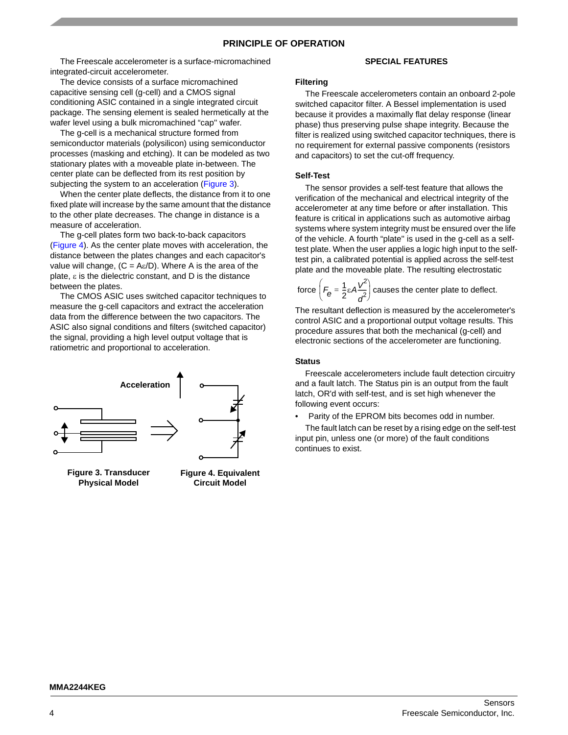# **PRINCIPLE OF OPERATION**

The Freescale accelerometer is a surface-micromachined integrated-circuit accelerometer.

The device consists of a surface micromachined capacitive sensing cell (g-cell) and a CMOS signal conditioning ASIC contained in a single integrated circuit package. The sensing element is sealed hermetically at the wafer level using a bulk micromachined "cap'' wafer.

The g-cell is a mechanical structure formed from semiconductor materials (polysilicon) using semiconductor processes (masking and etching). It can be modeled as two stationary plates with a moveable plate in-between. The center plate can be deflected from its rest position by subjecting the system to an acceleration (Figure 3).

When the center plate deflects, the distance from it to one fixed plate will increase by the same amount that the distance to the other plate decreases. The change in distance is a measure of acceleration.

The g-cell plates form two back-to-back capacitors (Figure 4). As the center plate moves with acceleration, the distance between the plates changes and each capacitor's value will change,  $(C = A\varepsilon/D)$ . Where A is the area of the plate,  $\varepsilon$  is the dielectric constant, and D is the distance between the plates.

The CMOS ASIC uses switched capacitor techniques to measure the g-cell capacitors and extract the acceleration data from the difference between the two capacitors. The ASIC also signal conditions and filters (switched capacitor) the signal, providing a high level output voltage that is ratiometric and proportional to acceleration.



**Figure 3. Transducer Physical Model**

## **Figure 4. Equivalent Circuit Model**

## **SPECIAL FEATURES**

#### **Filtering**

The Freescale accelerometers contain an onboard 2-pole switched capacitor filter. A Bessel implementation is used because it provides a maximally flat delay response (linear phase) thus preserving pulse shape integrity. Because the filter is realized using switched capacitor techniques, there is no requirement for external passive components (resistors and capacitors) to set the cut-off frequency.

#### **Self-Test**

The sensor provides a self-test feature that allows the verification of the mechanical and electrical integrity of the accelerometer at any time before or after installation. This feature is critical in applications such as automotive airbag systems where system integrity must be ensured over the life of the vehicle. A fourth "plate'' is used in the g-cell as a selftest plate. When the user applies a logic high input to the selftest pin, a calibrated potential is applied across the self-test plate and the moveable plate. The resulting electrostatic

force 
$$
\left(F_{\theta} = \frac{1}{2} \varepsilon A \frac{V^2}{d^2}\right)
$$
 causes the center plate to defect.

The resultant deflection is measured by the accelerometer's control ASIC and a proportional output voltage results. This procedure assures that both the mechanical (g-cell) and electronic sections of the accelerometer are functioning.

#### **Status**

Freescale accelerometers include fault detection circuitry and a fault latch. The Status pin is an output from the fault latch, OR'd with self-test, and is set high whenever the following event occurs:

• Parity of the EPROM bits becomes odd in number.

The fault latch can be reset by a rising edge on the self-test input pin, unless one (or more) of the fault conditions continues to exist.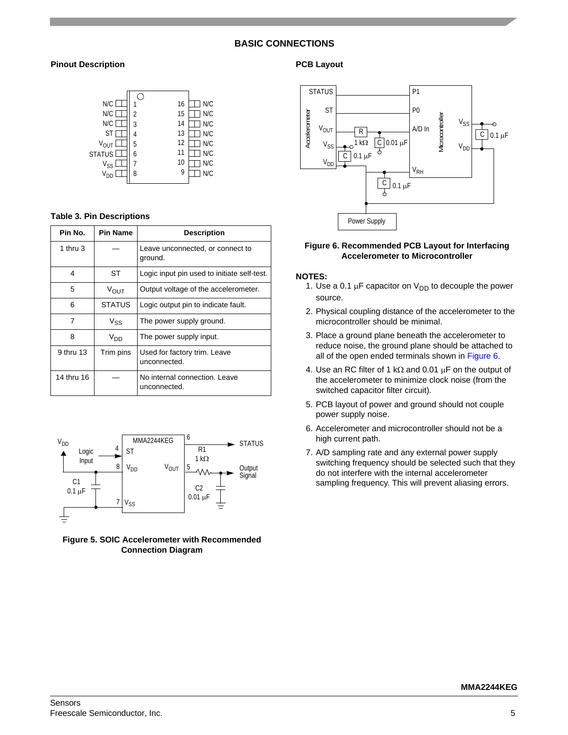# **BASIC CONNECTIONS**

# **Pinout Description**



#### **Table 3. Pin Descriptions**

| Pin No.    | <b>Pin Name</b> | <b>Description</b>                            |
|------------|-----------------|-----------------------------------------------|
| 1 thru 3   |                 | Leave unconnected, or connect to<br>ground.   |
| 4          | ST              | Logic input pin used to initiate self-test.   |
| 5          | VOUT            | Output voltage of the accelerometer.          |
| 6          | <b>STATUS</b>   | Logic output pin to indicate fault.           |
| 7          | $V_{SS}$        | The power supply ground.                      |
| 8          | V <sub>DD</sub> | The power supply input.                       |
| 9 thru 13  | Trim pins       | Used for factory trim. Leave<br>unconnected.  |
| 14 thru 16 |                 | No internal connection, Leave<br>unconnected. |



**Figure 5. SOIC Accelerometer with Recommended Connection Diagram**

## **PCB Layout**



## **Figure 6. Recommended PCB Layout for Interfacing Accelerometer to Microcontroller**

## **NOTES:**

- 1. Use a 0.1  $\mu$ F capacitor on V<sub>DD</sub> to decouple the power source.
- 2. Physical coupling distance of the accelerometer to the microcontroller should be minimal.
- 3. Place a ground plane beneath the accelerometer to reduce noise, the ground plane should be attached to all of the open ended terminals shown in Figure 6.
- 4. Use an RC filter of 1 k $\Omega$  and 0.01  $\mu$ F on the output of the accelerometer to minimize clock noise (from the switched capacitor filter circuit).
- 5. PCB layout of power and ground should not couple power supply noise.
- 6. Accelerometer and microcontroller should not be a high current path.
- 7. A/D sampling rate and any external power supply switching frequency should be selected such that they do not interfere with the internal accelerometer sampling frequency. This will prevent aliasing errors.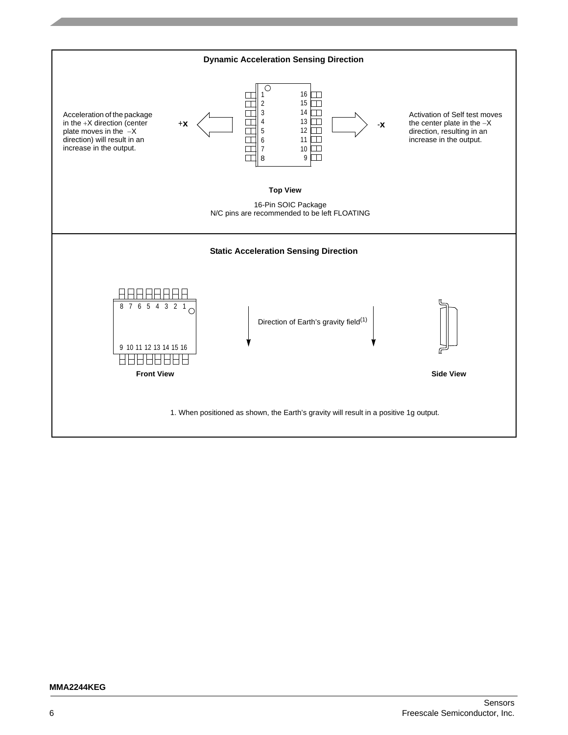

#### **MMA2244KEG**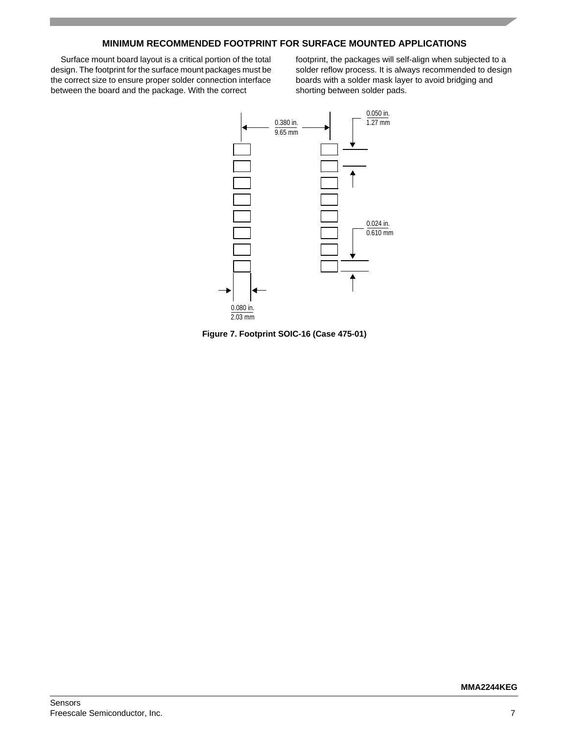# **MINIMUM RECOMMENDED FOOTPRINT FOR SURFACE MOUNTED APPLICATIONS**

Surface mount board layout is a critical portion of the total design. The footprint for the surface mount packages must be the correct size to ensure proper solder connection interface between the board and the package. With the correct

footprint, the packages will self-align when subjected to a solder reflow process. It is always recommended to design boards with a solder mask layer to avoid bridging and shorting between solder pads.



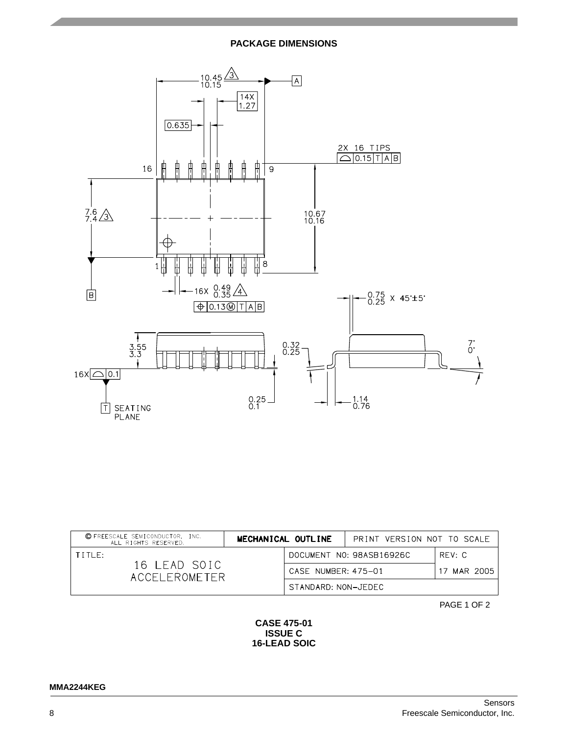# **PACKAGE DIMENSIONS**



| © FREESCALE SEMICONDUCTOR, INC.<br>ALL RIGHTS RESERVED. | MECHANICAL OUTLINE |                     | PRINT VERSION NOT TO SCALE |             |
|---------------------------------------------------------|--------------------|---------------------|----------------------------|-------------|
| TITIF:<br>16 LEAD SOIC<br>ACCEL FROMETER                |                    |                     | DOCUMENT NO: 98ASB16926C   | RFV: C      |
|                                                         |                    | CASE NUMBER: 475-01 |                            | 17 MAR 2005 |
|                                                         |                    | STANDARD: NON-JEDEC |                            |             |

PAGE 1 OF 2

# **CASE 475-01 ISSUE C 16-LEAD SOIC**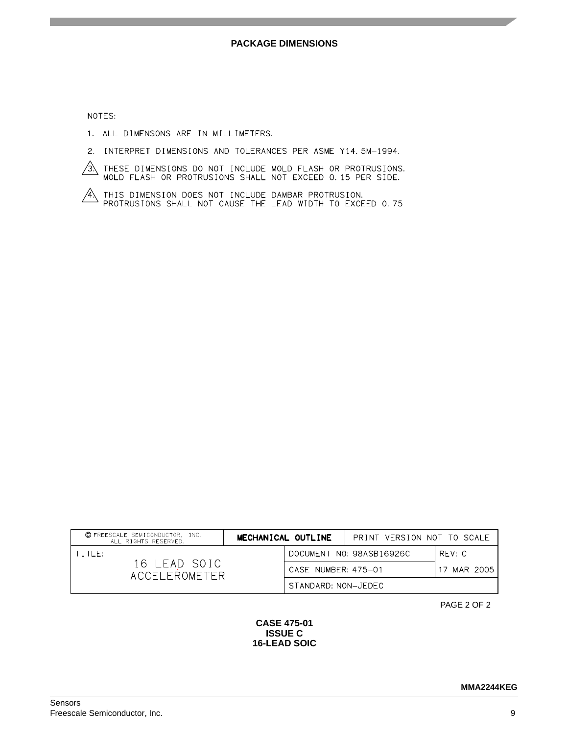NOTES:

- 1. ALL DIMENSONS ARE IN MILLIMETERS.
- 2. INTERPRET DIMENSIONS AND TOLERANCES PER ASME Y14.5M-1994.
- $\overbrace{3}$  these dimensions do not include mold flash or protrusions.<br>MOLD FLASH OR PROTRUSIONS SHALL NOT EXCEED 0.15 PER SIDE.
- $\overbrace{A}$  this dimension does not include dambar protrusion.<br>Protrusions shall not cause the LEAD width to exceed 0.75

| © FREESCALE SEMICONDUCTOR, INC.<br>ALL RIGHTS RESERVED. | MECHANICAL OUTLINE  | PRINT VERSION NOT TO SCALE |             |
|---------------------------------------------------------|---------------------|----------------------------|-------------|
| TITIF:                                                  |                     | DOCUMENT NO: 98ASB16926C   | RFV: C      |
| 16 LEAD SOIC<br>ACCEL FROMETER                          | CASE NUMBER: 475-01 |                            | 17 MAR 2005 |
|                                                         | STANDARD: NON-JEDEC |                            |             |

PAGE 2 OF 2

# **CASE 475-01 ISSUE C 16-LEAD SOIC**

**MMA2244KEG**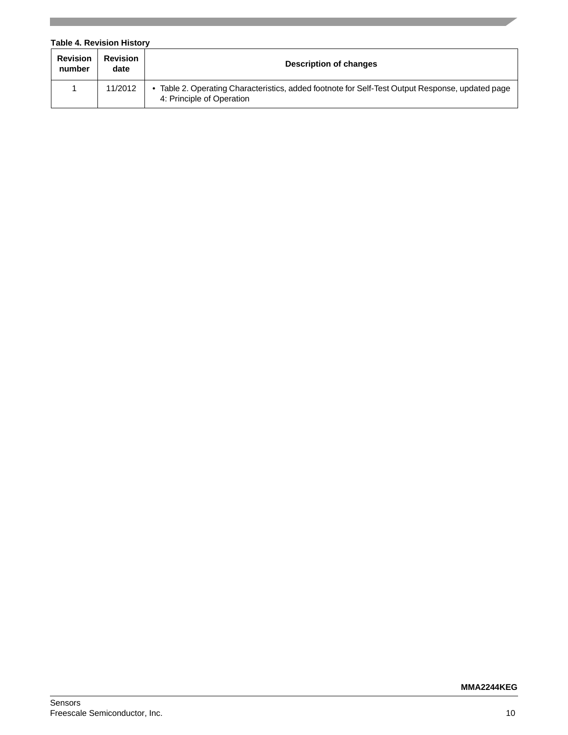# **Table 4. Revision History Revision number Revision Description of changes** 1 | 11/2012 | • Table 2. Operating Characteristics, added footnote for Self-Test Output Response, updated page 4: Principle of Operation